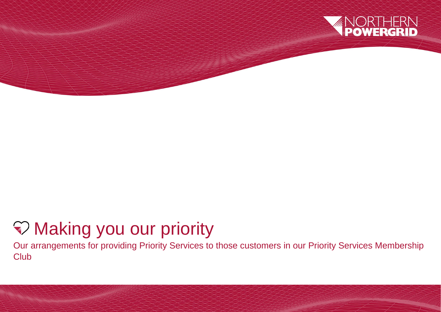

# Making you our priority

Our arrangements for providing Priority Services to those customers in our Priority Services Membership **Club**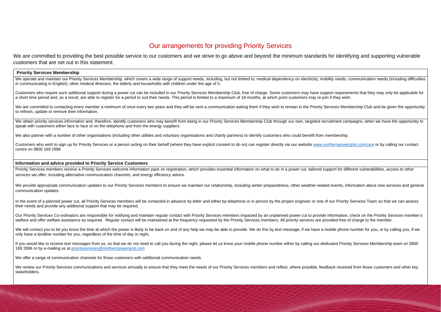## Our arrangements for providing Priority Services

We are committed to providing the best possible service to our customers and we strive to go above and beyond the minimum standards for identifying and supporting vulnerable customers that are set out in this statement.

#### **Priority Services Membership**

We operate and maintain our Priority Services Membership, which covers a wide range of support needs, including, but not limited to; medical dependency on electricity; mobility needs; communication needs (including difficu in communicating in English); other medical illnesses; the elderly and households with children under the age of 5.

We are committed to contacting every member a minimum of once every two years and they will be sent a communication asking them if they wish to remain in the Priority Services Membership Club and be given the opportunity to refresh, update or remove their information.

We obtain priority services information and, therefore, identify customers who may benefit from being in our Priority Services Membership Club through our own, targeted recruitment campaigns, when we have the opportunity t speak with customers either face to face or on the telephone and from the energy suppliers.

We also partner with a number of other organisations (including other utilities and voluntary organisations and charity partners) to identify customers who could benefit from membership.

Customers who require such additional support during a power cut can be included in our Priority Services Membership Club, free of charge. Some customers may have support requirements that they may only be applicable for a short time period and, as a result, are able to register for a period to suit their needs. This period is limited to a maximum of 18 months, at which point customers may re-join if they wish.

Customers who wish to sign up for Priority Services or a person acting on their behalf (where they have explicit consent to do so) can register directly via our website [www.northernpowergrid.com/care](http://www.northernpowergrid.com/care) or by calling our cont centre on 0800 169 2996

Priority Services members receive a Priority Services welcome information pack on registration, which provides essential information on what to do in a power cut, tailored support for different vulnerabilities, access to o services we offer, including alternative communication channels, and energy efficiency advice.

We provide appropriate communication updates to our Priority Services members to ensure we maintain our relationship, including winter preparedness, other weather-related events, information about new services and general communication updates.

In the event of a planned power cut, all Priority Services members will be contacted in advance by letter and either by telephone or in person by the project engineer or one of our Priority Services Team so that we can ass their needs and provide any additional support that may be required.

Our Priority Services Co-ordinators are responsible for notifying and maintain regular contact with Priority Services members impacted by an unplanned power cut to provide information, check on the Priority Services member's welfare and offer welfare assistance as required. Regular contact will be maintained at the frequency requested by the Priority Services members. All priority services are provided free of charge to the member.

We will contact you to let you know the time at which the power is likely to be back on and of any help we may be able to provide. We do this by text message, if we have a mobile phone number for you, or by calling you, if only have a landline number for you, regardless of the time of day or night*.*

If you would like to receive text messages from us, so that we do not need to call you during the night, please let us know your mobile phone number either by calling our dedicated Priority Services Membership team on 0800 169 2996 or by e-mailing us at [priorityservices@northernpowergrid.com](mailto:priorityservices@northernpowergrid.com)

We offer a range of communication channels for those customers with additional communication needs.

#### **Information and advice provided to Priority Service Customers**

We review our Priority Services communications and services annually to ensure that they meet the needs of our Priority Services members and reflect, where possible, feedback received from those customers and other key stakeholders.